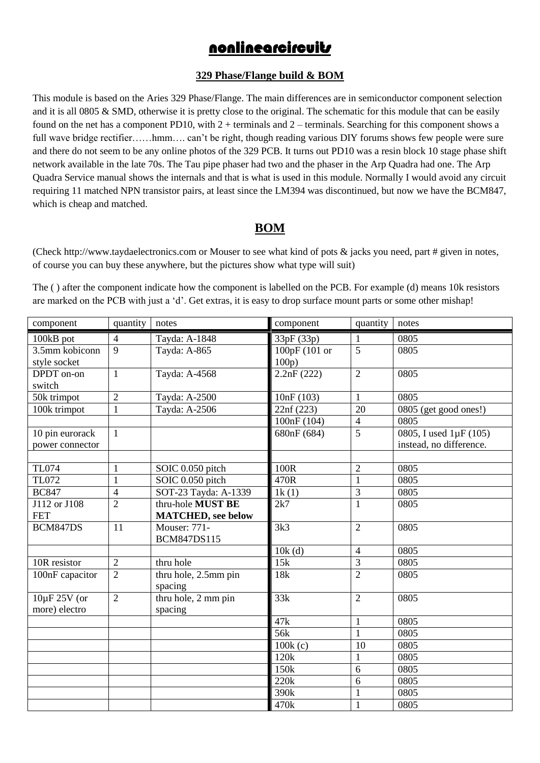# nonlinearcircuits

#### **329 Phase/Flange build & BOM**

This module is based on the Aries 329 Phase/Flange. The main differences are in semiconductor component selection and it is all 0805 & SMD, otherwise it is pretty close to the original. The schematic for this module that can be easily found on the net has a component PD10, with  $2 + \text{terminals}$  and  $2 - \text{terminals}$ . Searching for this component shows a full wave bridge rectifier……hmm…. can't be right, though reading various DIY forums shows few people were sure and there do not seem to be any online photos of the 329 PCB. It turns out PD10 was a resin block 10 stage phase shift network available in the late 70s. The Tau pipe phaser had two and the phaser in the Arp Quadra had one. The Arp Quadra Service manual shows the internals and that is what is used in this module. Normally I would avoid any circuit requiring 11 matched NPN transistor pairs, at least since the LM394 was discontinued, but now we have the BCM847, which is cheap and matched.

### **BOM**

(Check http://www.taydaelectronics.com or Mouser to see what kind of pots & jacks you need, part # given in notes, of course you can buy these anywhere, but the pictures show what type will suit)

The ( ) after the component indicate how the component is labelled on the PCB. For example (d) means 10k resistors are marked on the PCB with just a 'd'. Get extras, it is easy to drop surface mount parts or some other mishap!

| component                          | quantity       | notes                                           | component              | quantity        | notes                                             |
|------------------------------------|----------------|-------------------------------------------------|------------------------|-----------------|---------------------------------------------------|
| 100kB pot                          | $\overline{4}$ | Tayda: A-1848                                   | 33pF (33p)             | 1               | 0805                                              |
| 3.5mm kobiconn<br>style socket     | $\mathbf{Q}$   | Tayda: A-865                                    | 100pF (101 or<br>100p) | $\overline{5}$  | 0805                                              |
| DPDT on-on<br>switch               | $\mathbf{1}$   | Tayda: A-4568                                   | 2.2nF(222)             | $\overline{2}$  | 0805                                              |
| 50k trimpot                        | $\overline{2}$ | Tayda: A-2500                                   | 10nF(103)              | 1               | 0805                                              |
| 100k trimpot                       | $\mathbf{1}$   | Tayda: A-2506                                   | 22nf (223)             | $\overline{20}$ | $\overline{0805}$ (get good ones!)                |
|                                    |                |                                                 | 100nF (104)            | $\overline{4}$  | 0805                                              |
| 10 pin eurorack<br>power connector | $\mathbf{1}$   |                                                 | 680nF (684)            | 5               | 0805, I used 1µF (105)<br>instead, no difference. |
|                                    |                |                                                 |                        |                 |                                                   |
| <b>TL074</b>                       | 1              | SOIC 0.050 pitch                                | 100R                   | $\overline{2}$  | 0805                                              |
| TL072                              | $\mathbf{1}$   | SOIC 0.050 pitch                                | 470R                   | $\mathbf{1}$    | 0805                                              |
| <b>BC847</b>                       | $\overline{4}$ | SOT-23 Tayda: A-1339                            | 1k(1)                  | 3               | 0805                                              |
| J112 or J108<br><b>FET</b>         | $\overline{2}$ | thru-hole MUST BE<br><b>MATCHED</b> , see below | 2k7                    | $\mathbf{1}$    | 0805                                              |
| BCM847DS                           | 11             | <b>Mouser: 771-</b><br><b>BCM847DS115</b>       | 3k3                    | $\overline{2}$  | 0805                                              |
|                                    |                |                                                 | 10k(d)                 | $\overline{4}$  | 0805                                              |
| 10R resistor                       | $\overline{2}$ | thru hole                                       | 15k                    | 3               | 0805                                              |
| 100nF capacitor                    | $\overline{2}$ | thru hole, 2.5mm pin<br>spacing                 | 18k                    | $\overline{2}$  | 0805                                              |
| 10µF 25V (or<br>more) electro      | $\overline{2}$ | thru hole, 2 mm pin<br>spacing                  | 33k                    | $\overline{2}$  | 0805                                              |
|                                    |                |                                                 | 47k                    | 1               | 0805                                              |
|                                    |                |                                                 | 56 <sub>k</sub>        | $\mathbf{1}$    | 0805                                              |
|                                    |                |                                                 | 100k(c)                | 10              | 0805                                              |
|                                    |                |                                                 | 120k                   | 1               | 0805                                              |
|                                    |                |                                                 | 150k                   | 6               | 0805                                              |
|                                    |                |                                                 | 220k                   | 6               | 0805                                              |
|                                    |                |                                                 | 390k                   | 1               | 0805                                              |
|                                    |                |                                                 | 470k                   | $\mathbf{1}$    | 0805                                              |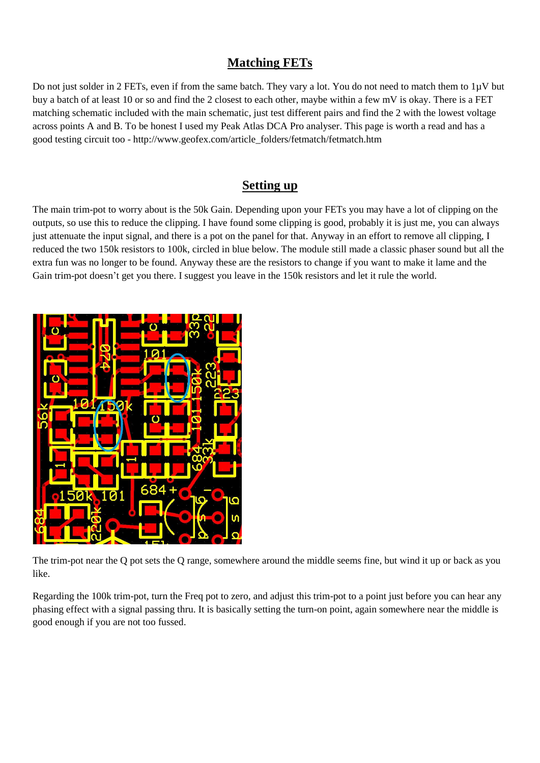## **Matching FETs**

Do not just solder in 2 FETs, even if from the same batch. They vary a lot. You do not need to match them to 1µV but buy a batch of at least 10 or so and find the 2 closest to each other, maybe within a few mV is okay. There is a FET matching schematic included with the main schematic, just test different pairs and find the 2 with the lowest voltage across points A and B. To be honest I used my Peak Atlas DCA Pro analyser. This page is worth a read and has a good testing circuit too - http://www.geofex.com/article\_folders/fetmatch/fetmatch.htm

#### **Setting up**

The main trim-pot to worry about is the 50k Gain. Depending upon your FETs you may have a lot of clipping on the outputs, so use this to reduce the clipping. I have found some clipping is good, probably it is just me, you can always just attenuate the input signal, and there is a pot on the panel for that. Anyway in an effort to remove all clipping, I reduced the two 150k resistors to 100k, circled in blue below. The module still made a classic phaser sound but all the extra fun was no longer to be found. Anyway these are the resistors to change if you want to make it lame and the Gain trim-pot doesn't get you there. I suggest you leave in the 150k resistors and let it rule the world.



The trim-pot near the Q pot sets the Q range, somewhere around the middle seems fine, but wind it up or back as you like.

Regarding the 100k trim-pot, turn the Freq pot to zero, and adjust this trim-pot to a point just before you can hear any phasing effect with a signal passing thru. It is basically setting the turn-on point, again somewhere near the middle is good enough if you are not too fussed.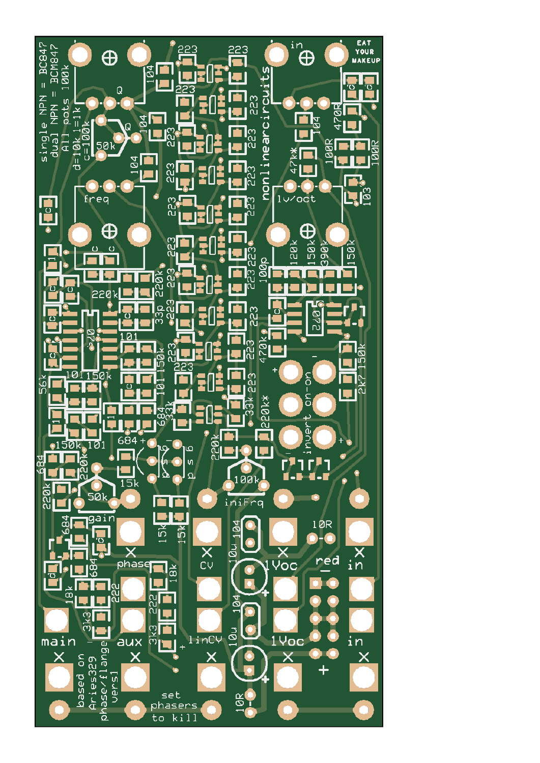